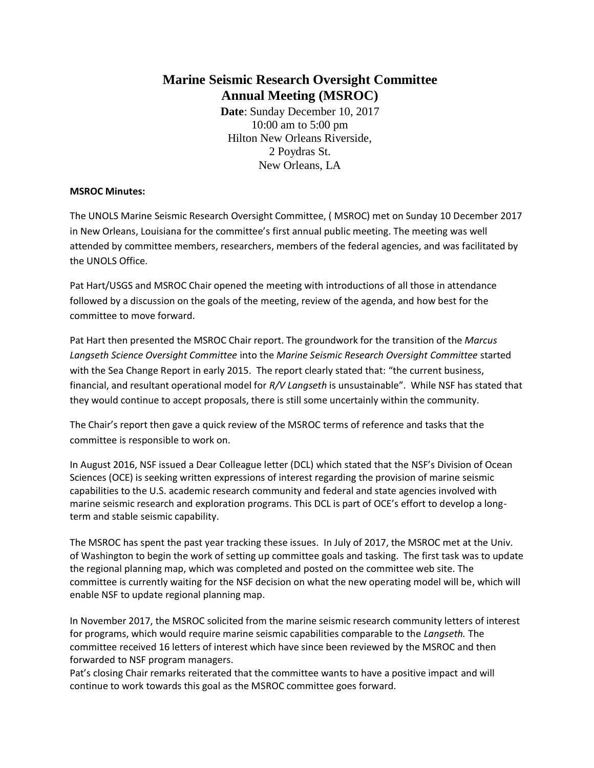# **Marine Seismic Research Oversight Committee Annual Meeting (MSROC)**

**Date**: Sunday December 10, 2017 10:00 am to 5:00 pm Hilton New Orleans Riverside, 2 Poydras St. New Orleans, LA

#### **MSROC Minutes:**

The UNOLS Marine Seismic Research Oversight Committee, ( MSROC) met on Sunday 10 December 2017 in New Orleans, Louisiana for the committee's first annual public meeting. The meeting was well attended by committee members, researchers, members of the federal agencies, and was facilitated by the UNOLS Office.

Pat Hart/USGS and MSROC Chair opened the meeting with introductions of all those in attendance followed by a discussion on the goals of the meeting, review of the agenda, and how best for the committee to move forward.

Pat Hart then presented the MSROC Chair report. The groundwork for the transition of the *Marcus Langseth Science Oversight Committee* into the *Marine Seismic Research Oversight Committee* started with the Sea Change Report in early 2015. The report clearly stated that: "the current business, financial, and resultant operational model for *R/V Langseth* is unsustainable". While NSF has stated that they would continue to accept proposals, there is still some uncertainly within the community.

The Chair's report then gave a quick review of the MSROC terms of reference and tasks that the committee is responsible to work on.

In August 2016, NSF issued a Dear Colleague letter (DCL) which stated that the NSF's Division of Ocean Sciences (OCE) is seeking written expressions of interest regarding the provision of marine seismic capabilities to the U.S. academic research community and federal and state agencies involved with marine seismic research and exploration programs. This DCL is part of OCE's effort to develop a longterm and stable seismic capability.

The MSROC has spent the past year tracking these issues. In July of 2017, the MSROC met at the Univ. of Washington to begin the work of setting up committee goals and tasking. The first task was to update the regional planning map, which was completed and posted on the committee web site. The committee is currently waiting for the NSF decision on what the new operating model will be, which will enable NSF to update regional planning map.

In November 2017, the MSROC solicited from the marine seismic research community letters of interest for programs, which would require marine seismic capabilities comparable to the *Langseth.* The committee received 16 letters of interest which have since been reviewed by the MSROC and then forwarded to NSF program managers.

Pat's closing Chair remarks reiterated that the committee wants to have a positive impact and will continue to work towards this goal as the MSROC committee goes forward.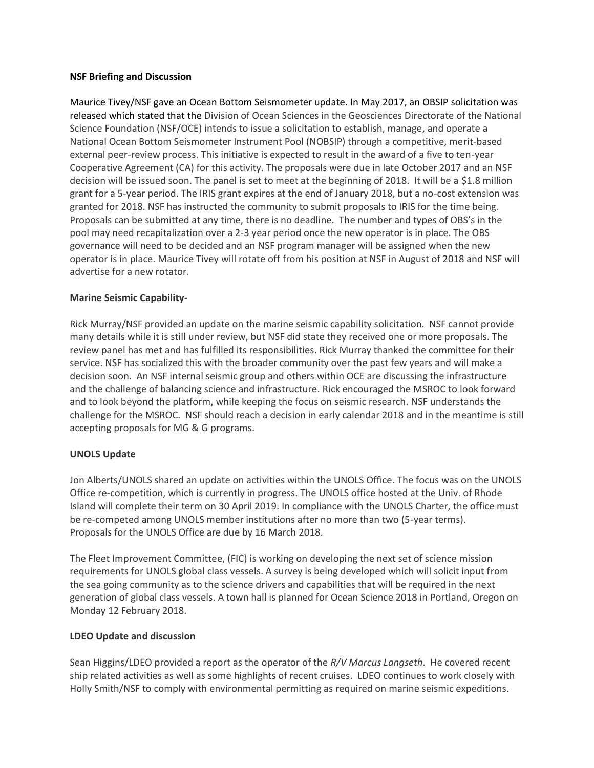#### **NSF Briefing and Discussion**

Maurice Tivey/NSF gave an Ocean Bottom Seismometer update. In May 2017, an OBSIP solicitation was released which stated that the Division of Ocean Sciences in the Geosciences Directorate of the National Science Foundation (NSF/OCE) intends to issue a solicitation to establish, manage, and operate a National Ocean Bottom Seismometer Instrument Pool (NOBSIP) through a competitive, merit-based external peer-review process. This initiative is expected to result in the award of a five to ten-year Cooperative Agreement (CA) for this activity. The proposals were due in late October 2017 and an NSF decision will be issued soon. The panel is set to meet at the beginning of 2018. It will be a \$1.8 million grant for a 5-year period. The IRIS grant expires at the end of January 2018, but a no-cost extension was granted for 2018. NSF has instructed the community to submit proposals to IRIS for the time being. Proposals can be submitted at any time, there is no deadline. The number and types of OBS's in the pool may need recapitalization over a 2-3 year period once the new operator is in place. The OBS governance will need to be decided and an NSF program manager will be assigned when the new operator is in place. Maurice Tivey will rotate off from his position at NSF in August of 2018 and NSF will advertise for a new rotator.

#### **Marine Seismic Capability-**

Rick Murray/NSF provided an update on the marine seismic capability solicitation. NSF cannot provide many details while it is still under review, but NSF did state they received one or more proposals. The review panel has met and has fulfilled its responsibilities. Rick Murray thanked the committee for their service. NSF has socialized this with the broader community over the past few years and will make a decision soon. An NSF internal seismic group and others within OCE are discussing the infrastructure and the challenge of balancing science and infrastructure. Rick encouraged the MSROC to look forward and to look beyond the platform, while keeping the focus on seismic research. NSF understands the challenge for the MSROC. NSF should reach a decision in early calendar 2018 and in the meantime is still accepting proposals for MG & G programs.

#### **UNOLS Update**

Jon Alberts/UNOLS shared an update on activities within the UNOLS Office. The focus was on the UNOLS Office re-competition, which is currently in progress. The UNOLS office hosted at the Univ. of Rhode Island will complete their term on 30 April 2019. In compliance with the UNOLS Charter, the office must be re-competed among UNOLS member institutions after no more than two (5-year terms). Proposals for the UNOLS Office are due by 16 March 2018.

The Fleet Improvement Committee, (FIC) is working on developing the next set of science mission requirements for UNOLS global class vessels. A survey is being developed which will solicit input from the sea going community as to the science drivers and capabilities that will be required in the next generation of global class vessels. A town hall is planned for Ocean Science 2018 in Portland, Oregon on Monday 12 February 2018.

#### **LDEO Update and discussion**

Sean Higgins/LDEO provided a report as the operator of the *R/V Marcus Langseth*. He covered recent ship related activities as well as some highlights of recent cruises. LDEO continues to work closely with Holly Smith/NSF to comply with environmental permitting as required on marine seismic expeditions.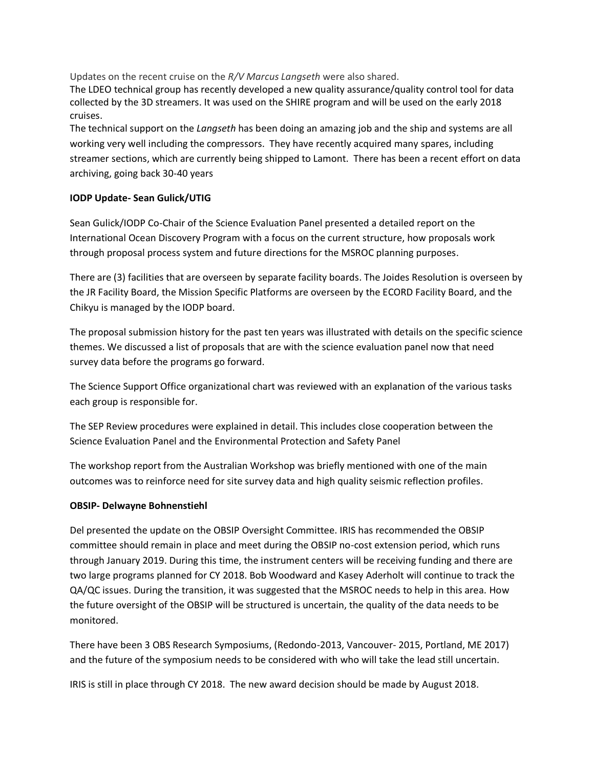Updates on the recent cruise on the *R/V Marcus Langseth* were also shared.

The LDEO technical group has recently developed a new quality assurance/quality control tool for data collected by the 3D streamers. It was used on the SHIRE program and will be used on the early 2018 cruises.

The technical support on the *Langseth* has been doing an amazing job and the ship and systems are all working very well including the compressors. They have recently acquired many spares, including streamer sections, which are currently being shipped to Lamont. There has been a recent effort on data archiving, going back 30-40 years

#### **IODP Update- Sean Gulick/UTIG**

Sean Gulick/IODP Co-Chair of the Science Evaluation Panel presented a detailed report on the International Ocean Discovery Program with a focus on the current structure, how proposals work through proposal process system and future directions for the MSROC planning purposes.

There are (3) facilities that are overseen by separate facility boards. The Joides Resolution is overseen by the JR Facility Board, the Mission Specific Platforms are overseen by the ECORD Facility Board, and the Chikyu is managed by the IODP board.

The proposal submission history for the past ten years was illustrated with details on the specific science themes. We discussed a list of proposals that are with the science evaluation panel now that need survey data before the programs go forward.

The Science Support Office organizational chart was reviewed with an explanation of the various tasks each group is responsible for.

The SEP Review procedures were explained in detail. This includes close cooperation between the Science Evaluation Panel and the Environmental Protection and Safety Panel

The workshop report from the Australian Workshop was briefly mentioned with one of the main outcomes was to reinforce need for site survey data and high quality seismic reflection profiles.

#### **OBSIP- Delwayne Bohnenstiehl**

Del presented the update on the OBSIP Oversight Committee. IRIS has recommended the OBSIP committee should remain in place and meet during the OBSIP no-cost extension period, which runs through January 2019. During this time, the instrument centers will be receiving funding and there are two large programs planned for CY 2018. Bob Woodward and Kasey Aderholt will continue to track the QA/QC issues. During the transition, it was suggested that the MSROC needs to help in this area. How the future oversight of the OBSIP will be structured is uncertain, the quality of the data needs to be monitored.

There have been 3 OBS Research Symposiums, (Redondo-2013, Vancouver- 2015, Portland, ME 2017) and the future of the symposium needs to be considered with who will take the lead still uncertain.

IRIS is still in place through CY 2018. The new award decision should be made by August 2018.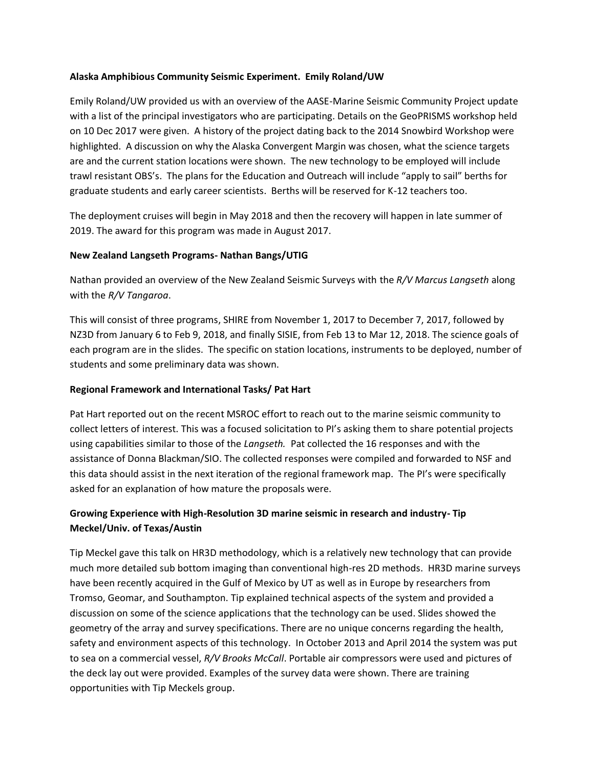#### **Alaska Amphibious Community Seismic Experiment. Emily Roland/UW**

Emily Roland/UW provided us with an overview of the AASE-Marine Seismic Community Project update with a list of the principal investigators who are participating. Details on the GeoPRISMS workshop held on 10 Dec 2017 were given. A history of the project dating back to the 2014 Snowbird Workshop were highlighted. A discussion on why the Alaska Convergent Margin was chosen, what the science targets are and the current station locations were shown. The new technology to be employed will include trawl resistant OBS's. The plans for the Education and Outreach will include "apply to sail" berths for graduate students and early career scientists. Berths will be reserved for K-12 teachers too.

The deployment cruises will begin in May 2018 and then the recovery will happen in late summer of 2019. The award for this program was made in August 2017.

### **New Zealand Langseth Programs- Nathan Bangs/UTIG**

Nathan provided an overview of the New Zealand Seismic Surveys with the *R/V Marcus Langseth* along with the *R/V Tangaroa*.

This will consist of three programs, SHIRE from November 1, 2017 to December 7, 2017, followed by NZ3D from January 6 to Feb 9, 2018, and finally SISIE, from Feb 13 to Mar 12, 2018. The science goals of each program are in the slides. The specific on station locations, instruments to be deployed, number of students and some preliminary data was shown.

## **Regional Framework and International Tasks/ Pat Hart**

Pat Hart reported out on the recent MSROC effort to reach out to the marine seismic community to collect letters of interest. This was a focused solicitation to PI's asking them to share potential projects using capabilities similar to those of the *Langseth.* Pat collected the 16 responses and with the assistance of Donna Blackman/SIO. The collected responses were compiled and forwarded to NSF and this data should assist in the next iteration of the regional framework map. The PI's were specifically asked for an explanation of how mature the proposals were.

# **Growing Experience with High-Resolution 3D marine seismic in research and industry- Tip Meckel/Univ. of Texas/Austin**

Tip Meckel gave this talk on HR3D methodology, which is a relatively new technology that can provide much more detailed sub bottom imaging than conventional high-res 2D methods. HR3D marine surveys have been recently acquired in the Gulf of Mexico by UT as well as in Europe by researchers from Tromso, Geomar, and Southampton. Tip explained technical aspects of the system and provided a discussion on some of the science applications that the technology can be used. Slides showed the geometry of the array and survey specifications. There are no unique concerns regarding the health, safety and environment aspects of this technology. In October 2013 and April 2014 the system was put to sea on a commercial vessel, *R/V Brooks McCall*. Portable air compressors were used and pictures of the deck lay out were provided. Examples of the survey data were shown. There are training opportunities with Tip Meckels group.